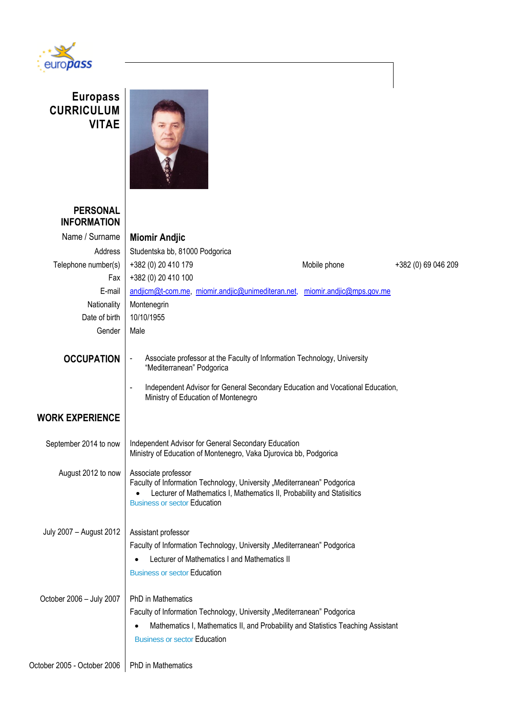

## **Europass CURRICULUM VITAE**



## **PERSONAL INFORMATION**

| <b>INFORMATION</b>          |                                                                                                                                                                                                                                                                   |                          |                     |  |  |
|-----------------------------|-------------------------------------------------------------------------------------------------------------------------------------------------------------------------------------------------------------------------------------------------------------------|--------------------------|---------------------|--|--|
| Name / Surname              | <b>Miomir Andjic</b>                                                                                                                                                                                                                                              |                          |                     |  |  |
| Address                     | Studentska bb, 81000 Podgorica                                                                                                                                                                                                                                    |                          |                     |  |  |
| Telephone number(s)         | +382 (0) 20 410 179                                                                                                                                                                                                                                               | Mobile phone             | +382 (0) 69 046 209 |  |  |
| Fax                         | +382 (0) 20 410 100                                                                                                                                                                                                                                               |                          |                     |  |  |
| E-mail                      | andjicm@t-com.me, miomir.andjic@unimediteran.net,                                                                                                                                                                                                                 | miomir.andjic@mps.gov.me |                     |  |  |
| Nationality                 | Montenegrin                                                                                                                                                                                                                                                       |                          |                     |  |  |
| Date of birth               | 10/10/1955                                                                                                                                                                                                                                                        |                          |                     |  |  |
| Gender                      | Male                                                                                                                                                                                                                                                              |                          |                     |  |  |
| <b>OCCUPATION</b>           | Associate professor at the Faculty of Information Technology, University<br>$\blacksquare$<br>"Mediterranean" Podgorica<br>Independent Advisor for General Secondary Education and Vocational Education,<br>$\blacksquare$<br>Ministry of Education of Montenegro |                          |                     |  |  |
| <b>WORK EXPERIENCE</b>      |                                                                                                                                                                                                                                                                   |                          |                     |  |  |
| September 2014 to now       | Independent Advisor for General Secondary Education<br>Ministry of Education of Montenegro, Vaka Djurovica bb, Podgorica                                                                                                                                          |                          |                     |  |  |
| August 2012 to now          | Associate professor<br>Faculty of Information Technology, University "Mediterranean" Podgorica<br>Lecturer of Mathematics I, Mathematics II, Probability and Statisitics<br><b>Business or sector Education</b>                                                   |                          |                     |  |  |
| July 2007 - August 2012     | Assistant professor                                                                                                                                                                                                                                               |                          |                     |  |  |
|                             | Faculty of Information Technology, University "Mediterranean" Podgorica                                                                                                                                                                                           |                          |                     |  |  |
|                             | Lecturer of Mathematics I and Mathematics II                                                                                                                                                                                                                      |                          |                     |  |  |
|                             | <b>Business or sector Education</b>                                                                                                                                                                                                                               |                          |                     |  |  |
| October 2006 - July 2007    | <b>PhD</b> in Mathematics                                                                                                                                                                                                                                         |                          |                     |  |  |
|                             | Faculty of Information Technology, University "Mediterranean" Podgorica                                                                                                                                                                                           |                          |                     |  |  |
|                             | Mathematics I, Mathematics II, and Probability and Statistics Teaching Assistant<br><b>Business or sector Education</b>                                                                                                                                           |                          |                     |  |  |
| October 2005 - October 2006 | PhD in Mathematics                                                                                                                                                                                                                                                |                          |                     |  |  |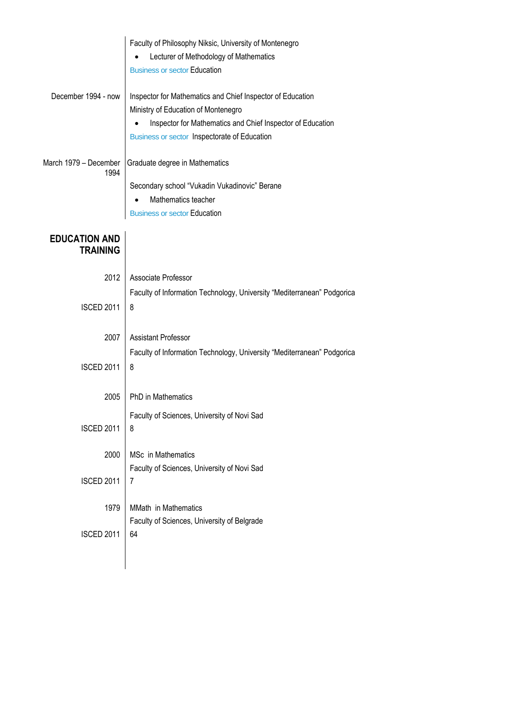|                                         | Faculty of Philosophy Niksic, University of Montenegro<br>Lecturer of Methodology of Mathematics<br><b>Business or sector Education</b>                                                                         |  |
|-----------------------------------------|-----------------------------------------------------------------------------------------------------------------------------------------------------------------------------------------------------------------|--|
| December 1994 - now                     | Inspector for Mathematics and Chief Inspector of Education<br>Ministry of Education of Montenegro<br>Inspector for Mathematics and Chief Inspector of Education<br>Business or sector Inspectorate of Education |  |
| March 1979 - December<br>1994           | Graduate degree in Mathematics<br>Secondary school "Vukadin Vukadinovic" Berane<br>Mathematics teacher<br><b>Business or sector Education</b>                                                                   |  |
| <b>EDUCATION AND</b><br><b>TRAINING</b> |                                                                                                                                                                                                                 |  |
| 2012                                    | Associate Professor                                                                                                                                                                                             |  |
| <b>ISCED 2011</b>                       | Faculty of Information Technology, University "Mediterranean" Podgorica<br>8                                                                                                                                    |  |
| 2007                                    | <b>Assistant Professor</b>                                                                                                                                                                                      |  |
| <b>ISCED 2011</b>                       | Faculty of Information Technology, University "Mediterranean" Podgorica<br>8                                                                                                                                    |  |
| 2005                                    | <b>PhD</b> in Mathematics                                                                                                                                                                                       |  |
| <b>ISCED 2011</b>                       | Faculty of Sciences, University of Novi Sad<br>8                                                                                                                                                                |  |
| 2000                                    | MSc in Mathematics<br>Faculty of Sciences, University of Novi Sad                                                                                                                                               |  |
| <b>ISCED 2011</b>                       | 7                                                                                                                                                                                                               |  |
| 1979                                    | MMath in Mathematics                                                                                                                                                                                            |  |
| <b>ISCED 2011</b>                       | Faculty of Sciences, University of Belgrade<br>64                                                                                                                                                               |  |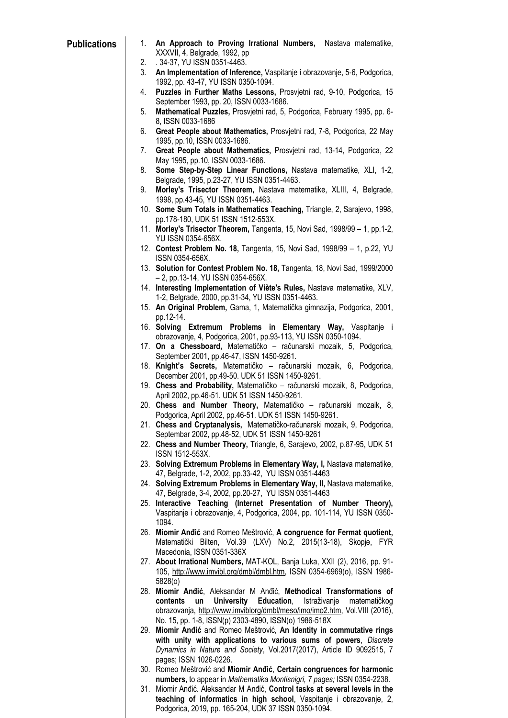- **Publications** 1. **An Approach to Proving Irrational Numbers,** Nastava matematike, XXXVII, 4, Belgrade, 1992, pp
	- 2. . 34-37, YU ISSN 0351-4463.
	- 3. **An Implementation of Inference,** Vaspitanje i obrazovanje, 5-6, Podgorica, 1992, pp. 43-47, YU ISSN 0350-1094.
	- 4. **Puzzles in Further Maths Lessons,** Prosvjetni rad, 9-10, Podgorica, 15 September 1993, pp. 20, ISSN 0033-1686.
	- 5. **Mathematical Puzzles,** Prosvjetni rad, 5, Podgorica, February 1995, pp. 6- 8, ISSN 0033-1686
	- 6. **Great People about Mathematics,** Prosvjetni rad, 7-8, Podgorica, 22 May 1995, pp.10, ISSN 0033-1686.
	- 7. **Great People about Mathematics,** Prosvjetni rad, 13-14, Podgorica, 22 May 1995, pp.10, ISSN 0033-1686.
	- 8. **Some Step-by-Step Linear Functions,** Nastava matematike, XLI, 1-2, Belgrade, 1995, p.23-27, YU ISSN 0351-4463.
	- 9. **Morley's Trisector Theorem,** Nastava matematike, XLIII, 4, Belgrade, 1998, pp.43-45, YU ISSN 0351-4463.
	- 10. **Some Sum Totals in Mathematics Teaching,** Triangle, 2, Sarajevo, 1998, pp.178-180, UDK 51 ISSN 1512-553X.
	- 11. **Morley's Trisector Theorem,** Tangenta, 15, Novi Sad, 1998/99 1, pp.1-2, YU ISSN 0354-656X.
	- 12. **Contest Problem No. 18,** Tangenta, 15, Novi Sad, 1998/99 1, p.22, YU ISSN 0354-656X.
	- 13. **Solution for Contest Problem No. 18,** Tangenta, 18, Novi Sad, 1999/2000 – 2, pp.13-14, YU ISSN 0354-656X.
	- 14. **Interesting Implementation of Viète's Rules,** Nastava matematike, XLV, 1-2, Belgrade, 2000, pp.31-34, YU ISSN 0351-4463.
	- 15. **An Original Problem,** Gama, 1, Matematička gimnazija, Podgorica, 2001, pp.12-14.
	- 16. **Solving Extremum Problems in Elementary Way,** Vaspitanje i obrazovanje, 4, Podgorica, 2001, pp.93-113, YU ISSN 0350-1094.
	- 17. **On a Chessboard,** Matematičko računarski mozaik, 5, Podgorica, September 2001, pp.46-47, ISSN 1450-9261.
	- 18. **Knight's Secrets,** Matematičko računarski mozaik, 6, Podgorica, December 2001, pp.49-50. UDK 51 ISSN 1450-9261.
	- 19. **Chess and Probability,** Matematičko računarski mozaik, 8, Podgorica, April 2002, pp.46-51. UDK 51 ISSN 1450-9261.
	- 20. **Chess and Number Theory,** Matematičko računarski mozaik, 8, Podgorica, April 2002, pp.46-51. UDK 51 ISSN 1450-9261.
	- 21. **Chess and Cryptanalysis,** Matematičko-računarski mozaik, 9, Podgorica, Septembar 2002, pp.48-52, UDK 51 ISSN 1450-9261
	- 22. **Chess and Number Theory,** Triangle, 6, Sarajevo, 2002, p.87-95, UDK 51 ISSN 1512-553X.
	- 23. **Solving Extremum Problems in Elementary Way, I,** Nastava matematike, 47, Belgrade, 1-2, 2002, pp.33-42, YU ISSN 0351-4463
	- 24. **Solving Extremum Problems in Elementary Way, II,** Nastava matematike, 47, Belgrade, 3-4, 2002, pp.20-27, YU ISSN 0351-4463
	- 25. **Interactive Teaching (Internet Presentation of Number Theory),**  Vaspitanje i obrazovanje, 4, Podgorica, 2004, pp. 101-114, YU ISSN 0350- 1094.
	- 26. **Miomir Anđić** and Romeo Meštrović, **A congruence for Fermat quotient,**  Matematički Bilten, Vol.39 (LXV) No.2, 2015(13-18), Skopje, FYR Macedonia, ISSN 0351-336X
	- 27. **About Irrational Numbers,** MAT-KOL, Banja Luka, XXII (2), 2016, pp. 91- 105, [http://www.imvibl.org/dmbl/dmbl.htm,](http://www.imvibl.org/dmbl/dmbl.htm) ISSN 0354-6969(o), ISSN 1986- 5828(o)
	- 28. **Miomir Anđić**, Aleksandar M Anđić, **Methodical Transformations of contents un University Education**, Istraživanje matematičkog obrazovanja, [http://www.imviblorg/dmbl/meso/imo/imo2.htm,](http://www.imviblorg/dmbl/meso/imo/imo2.htm) Vol.VIII (2016), No. 15, pp. 1-8, ISSN(p) 2303-4890, ISSN(o) 1986-518X
	- 29. **Miomir Anđić** and Romeo Meštrović, **An Identity in commutative rings with unity with applications to various sums of powers**, *Discrete Dynamics in Nature and Society*, Vol.2017(2017), Article ID 9092515, 7 pages; ISSN 1026-0226.
	- 30. Romeo Meštrović and **Miomir Anđić**, **Certain congruences for harmonic numbers,** to appear in *Mathematika Montisnigri, 7 pages;* ISSN 0354-2238.
	- 31. Miomir Anđić. Aleksandar M Anđić, **Control tasks at several levels in the teaching of informatics in high school**, Vaspitanje i obrazovanje, 2, Podgorica, 2019, pp. 165-204, UDK 37 ISSN 0350-1094.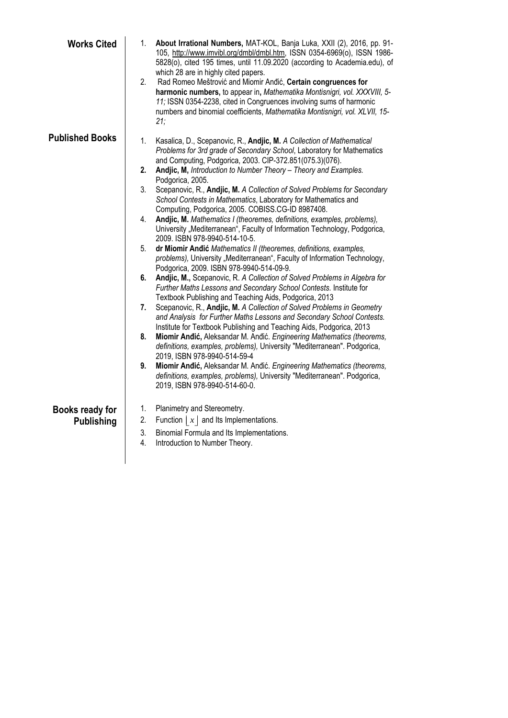| <b>Works Cited</b>                   | 1.<br>2.                                           | About Irrational Numbers, MAT-KOL, Banja Luka, XXII (2), 2016, pp. 91-<br>105, http://www.imvibl.org/dmbl/dmbl.htm, ISSN 0354-6969(o), ISSN 1986-<br>5828(o), cited 195 times, until 11.09.2020 (according to Academia.edu), of<br>which 28 are in highly cited papers.<br>Rad Romeo Meštrović and Miomir Andić, Certain congruences for<br>harmonic numbers, to appear in, Mathematika Montisnigri, vol. XXXVIII, 5-<br>11; ISSN 0354-2238, cited in Congruences involving sums of harmonic<br>numbers and binomial coefficients, Mathematika Montisnigri, vol. XLVII, 15-<br>21:                                                                                                                                                                                                                                                                                                                                                                                                                                                                                                                                                                                                                                                                                                                                                                                                                                                                                                                                                                                                                |
|--------------------------------------|----------------------------------------------------|---------------------------------------------------------------------------------------------------------------------------------------------------------------------------------------------------------------------------------------------------------------------------------------------------------------------------------------------------------------------------------------------------------------------------------------------------------------------------------------------------------------------------------------------------------------------------------------------------------------------------------------------------------------------------------------------------------------------------------------------------------------------------------------------------------------------------------------------------------------------------------------------------------------------------------------------------------------------------------------------------------------------------------------------------------------------------------------------------------------------------------------------------------------------------------------------------------------------------------------------------------------------------------------------------------------------------------------------------------------------------------------------------------------------------------------------------------------------------------------------------------------------------------------------------------------------------------------------------|
| <b>Published Books</b>               | 1.<br>2.<br>3.<br>4.<br>5.<br>6.<br>7.<br>8.<br>9. | Kasalica, D., Scepanovic, R., Andjic, M. A Collection of Mathematical<br>Problems for 3rd grade of Secondary School, Laboratory for Mathematics<br>and Computing, Podgorica, 2003. CIP-372.851(075.3)(076).<br>Andjic, M, Introduction to Number Theory - Theory and Examples.<br>Podgorica, 2005.<br>Scepanovic, R., Andjic, M. A Collection of Solved Problems for Secondary<br>School Contests in Mathematics, Laboratory for Mathematics and<br>Computing, Podgorica, 2005. COBISS.CG-ID 8987408.<br>Andjic, M. Mathematics I (theoremes, definitions, examples, problems),<br>University "Mediterranean", Faculty of Information Technology, Podgorica,<br>2009. ISBN 978-9940-514-10-5.<br>dr Miomir Andić Mathematics II (theoremes, definitions, examples,<br>problems), University "Mediterranean", Faculty of Information Technology,<br>Podgorica, 2009. ISBN 978-9940-514-09-9.<br>Andjic, M., Scepanovic, R. A Collection of Solved Problems in Algebra for<br>Further Maths Lessons and Secondary School Contests. Institute for<br>Textbook Publishing and Teaching Aids, Podgorica, 2013<br>Scepanovic, R., Andjic, M. A Collection of Solved Problems in Geometry<br>and Analysis for Further Maths Lessons and Secondary School Contests.<br>Institute for Textbook Publishing and Teaching Aids, Podgorica, 2013<br>Miomir Andić, Aleksandar M. Andić. Engineering Mathematics (theorems,<br>definitions, examples, problems), University "Mediterranean". Podgorica,<br>2019, ISBN 978-9940-514-59-4<br>Miomir Andić, Aleksandar M. Andić. Engineering Mathematics (theorems, |
| Books ready for<br><b>Publishing</b> | 1.<br>2.<br>3.<br>4.                               | definitions, examples, problems), University "Mediterranean". Podgorica,<br>2019, ISBN 978-9940-514-60-0.<br>Planimetry and Stereometry.<br>Function $ x $ and its implementations.<br>Binomial Formula and Its Implementations.<br>Introduction to Number Theory.                                                                                                                                                                                                                                                                                                                                                                                                                                                                                                                                                                                                                                                                                                                                                                                                                                                                                                                                                                                                                                                                                                                                                                                                                                                                                                                                |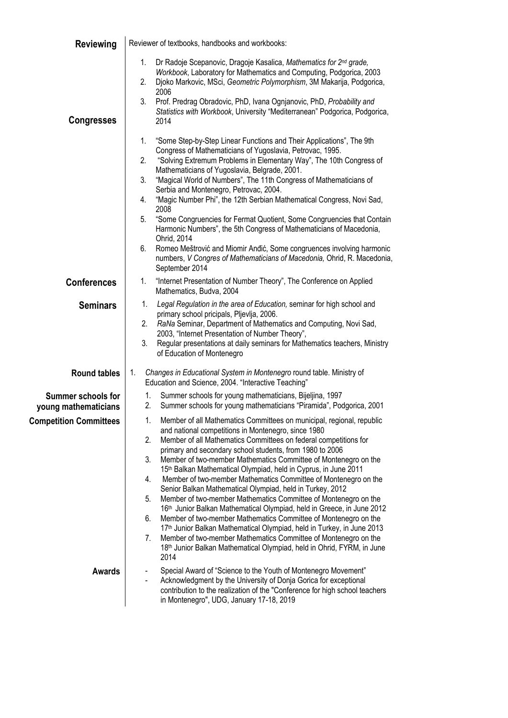| <b>Reviewing</b>                                  | Reviewer of textbooks, handbooks and workbooks:                                                                                                                                                                                                                                                                                                                                                                                                                                                                                                                                                                                                                                                                                                                                                                                                                                                                                                                                                                                                                 |  |  |
|---------------------------------------------------|-----------------------------------------------------------------------------------------------------------------------------------------------------------------------------------------------------------------------------------------------------------------------------------------------------------------------------------------------------------------------------------------------------------------------------------------------------------------------------------------------------------------------------------------------------------------------------------------------------------------------------------------------------------------------------------------------------------------------------------------------------------------------------------------------------------------------------------------------------------------------------------------------------------------------------------------------------------------------------------------------------------------------------------------------------------------|--|--|
| <b>Congresses</b>                                 | Dr Radoje Scepanovic, Dragoje Kasalica, Mathematics for 2nd grade,<br>1.<br>Workbook, Laboratory for Mathematics and Computing, Podgorica, 2003<br>Djoko Markovic, MSci, Geometric Polymorphism, 3M Makarija, Podgorica,<br>2.<br>2006<br>3.<br>Prof. Predrag Obradovic, PhD, Ivana Ognjanovic, PhD, Probability and<br>Statistics with Workbook, University "Mediterranean" Podgorica, Podgorica,<br>2014                                                                                                                                                                                                                                                                                                                                                                                                                                                                                                                                                                                                                                                      |  |  |
|                                                   | "Some Step-by-Step Linear Functions and Their Applications", The 9th<br>1.<br>Congress of Mathematicians of Yugoslavia, Petrovac, 1995.<br>2.<br>"Solving Extremum Problems in Elementary Way", The 10th Congress of<br>Mathematicians of Yugoslavia, Belgrade, 2001.<br>3.<br>"Magical World of Numbers", The 11th Congress of Mathematicians of<br>Serbia and Montenegro, Petrovac, 2004.<br>"Magic Number Phi", the 12th Serbian Mathematical Congress, Novi Sad,<br>4.<br>2008<br>5.<br>"Some Congruencies for Fermat Quotient, Some Congruencies that Contain<br>Harmonic Numbers", the 5th Congress of Mathematicians of Macedonia,<br>Ohrid, 2014<br>Romeo Meštrović and Miomir Anđić, Some congruences involving harmonic<br>6.<br>numbers, V Congres of Mathematicians of Macedonia, Ohrid, R. Macedonia,<br>September 2014                                                                                                                                                                                                                            |  |  |
| <b>Conferences</b>                                | "Internet Presentation of Number Theory", The Conference on Applied<br>1.<br>Mathematics, Budva, 2004                                                                                                                                                                                                                                                                                                                                                                                                                                                                                                                                                                                                                                                                                                                                                                                                                                                                                                                                                           |  |  |
| <b>Seminars</b>                                   | Legal Regulation in the area of Education, seminar for high school and<br>1.<br>primary school pricipals, Pljevlja, 2006.<br>RaNa Seminar, Department of Mathematics and Computing, Novi Sad,<br>2.<br>2003, "Internet Presentation of Number Theory",<br>Regular presentations at daily seminars for Mathematics teachers, Ministry<br>3.<br>of Education of Montenegro                                                                                                                                                                                                                                                                                                                                                                                                                                                                                                                                                                                                                                                                                        |  |  |
| <b>Round tables</b>                               | Changes in Educational System in Montenegro round table. Ministry of<br>1.<br>Education and Science, 2004. "Interactive Teaching"                                                                                                                                                                                                                                                                                                                                                                                                                                                                                                                                                                                                                                                                                                                                                                                                                                                                                                                               |  |  |
| <b>Summer schools for</b><br>young mathematicians | Summer schools for young mathematicians, Bijeljina, 1997<br>1.<br>Summer schools for young mathematicians "Piramida", Podgorica, 2001<br>2.                                                                                                                                                                                                                                                                                                                                                                                                                                                                                                                                                                                                                                                                                                                                                                                                                                                                                                                     |  |  |
| <b>Competition Committees</b>                     | Member of all Mathematics Committees on municipal, regional, republic<br>1.<br>and national competitions in Montenegro, since 1980<br>2.<br>Member of all Mathematics Committees on federal competitions for<br>primary and secondary school students, from 1980 to 2006<br>3.<br>Member of two-member Mathematics Committee of Montenegro on the<br>15 <sup>th</sup> Balkan Mathematical Olympiad, held in Cyprus, in June 2011<br>Member of two-member Mathematics Committee of Montenegro on the<br>4.<br>Senior Balkan Mathematical Olympiad, held in Turkey, 2012<br>Member of two-member Mathematics Committee of Montenegro on the<br>5.<br>16th Junior Balkan Mathematical Olympiad, held in Greece, in June 2012<br>6.<br>Member of two-member Mathematics Committee of Montenegro on the<br>17 <sup>th</sup> Junior Balkan Mathematical Olympiad, held in Turkey, in June 2013<br>Member of two-member Mathematics Committee of Montenegro on the<br>7.<br>18 <sup>th</sup> Junior Balkan Mathematical Olympiad, held in Ohrid, FYRM, in June<br>2014 |  |  |
| <b>Awards</b>                                     | Special Award of "Science to the Youth of Montenegro Movement"<br>Acknowledgment by the University of Donja Gorica for exceptional<br>contribution to the realization of the "Conference for high school teachers<br>in Montenegro", UDG, January 17-18, 2019                                                                                                                                                                                                                                                                                                                                                                                                                                                                                                                                                                                                                                                                                                                                                                                                   |  |  |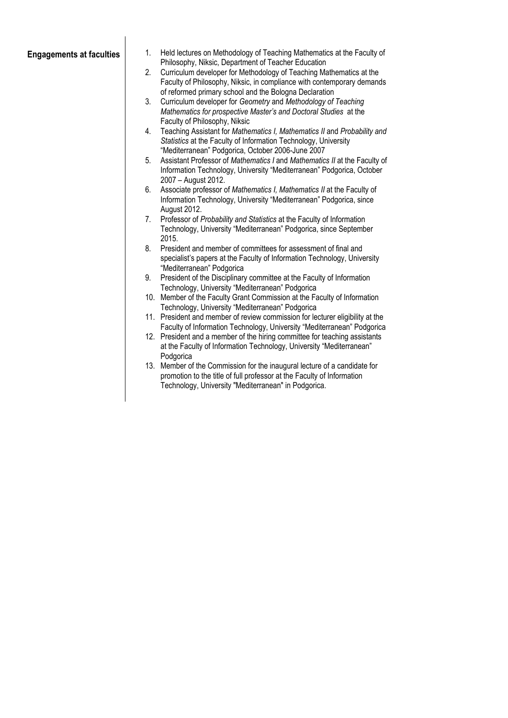- **Engagements at faculties** 1. Held lectures on Methodology of Teaching Mathematics at the Faculty of Philosophy, Niksic, Department of Teacher Education
	- 2. Curriculum developer for Methodology of Teaching Mathematics at the Faculty of Philosophy, Niksic, in compliance with contemporary demands of reformed primary school and the Bologna Declaration
	- 3. Curriculum developer for *Geometry* and *Methodology of Teaching Mathematics for prospective Master's and Doctoral Studies* at the Faculty of Philosophy, Niksic
	- 4. Teaching Assistant for *Mathematics I, Mathematics II* and *Probability and Statistics* at the Faculty of Information Technology, University "Mediterranean" Podgorica, October 2006-June 2007
	- 5. Assistant Professor of *Mathematics I* and *Mathematics II* at the Faculty of Information Technology, University "Mediterranean" Podgorica, October 2007 – August 2012.
	- 6. Associate professor of *Mathematics I, Mathematics II* at the Faculty of Information Technology, University "Mediterranean" Podgorica, since August 2012.
	- 7. Professor of *Probability and Statistics* at the Faculty of Information Technology, University "Mediterranean" Podgorica, since September 2015.
	- 8. President and member of committees for assessment of final and specialist's papers at the Faculty of Information Technology, University "Mediterranean" Podgorica
	- 9. President of the Disciplinary committee at the Faculty of Information Technology, University "Mediterranean" Podgorica
	- 10. Member of the Faculty Grant Commission at the Faculty of Information Technology, University "Mediterranean" Podgorica
	- 11. President and member of review commission for lecturer eligibility at the Faculty of Information Technology, University "Mediterranean" Podgorica
	- 12. President and a member of the hiring committee for teaching assistants at the Faculty of Information Technology, University "Mediterranean" Podgorica
	- 13. Member of the Commission for the inaugural lecture of a candidate for promotion to the title of full professor at the Faculty of Information Technology, University "Mediterranean" in Podgorica.